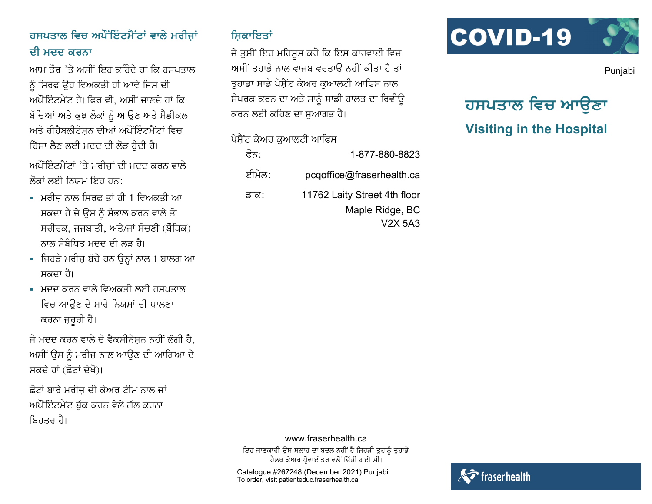## ਹਸਪਤਾਲ ਵਿਚ ਅਪੌਂਇੰਟਮੈਂਟਾਂ ਵਾਲੇ ਮਰੀਜਾਂ ਦੀ ਮਦਦ ਕਰਨਾ

ਆਮ ਤੌਰ 'ਤੇ ਅਸੀਂ ਇਹ ਕਹਿੰਦੇ ਹਾਂ ਕਿ ਹਸਪਤਾਲ ਨੰ ਸਿਰਫ ੳਹ ਵਿਅਕਤੀ ਹੀ ਆਵੇ ਜਿਸ ਦੀ ਅਪੌਂਇੰਟਮੈਂਟ ਹੈ। ਫਿਰ ਵੀ. ਅਸੀਂ ਜਾਣਦੇ ਹਾਂ ਕਿ ਬੱਚਿਆਂ ਅਤੇ ਕੁਝ ਲੋਕਾਂ ਨੂੰ ਆਉਣ ਅਤੇ ਮੈਡੀਕਲ ਅਤੇ ਰੀਹੈਬਲੀਟੇਸਨ ਦੀਆਂ ਅਪੌਂਇੰਟਮੈਂਟਾਂ ਵਿਚ ਹਿੱਸਾ ਲੈਣ ਲਈ ਮਦਦ ਦੀ ਲੋੜ ਹੁੰਦੀ ਹੈ।

ਅਪੌਂਇੰਟਮੈਂਟਾਂ 'ਤੇ ਮਰੀਜਾਂ ਦੀ ਮਦਦ ਕਰਨ ਵਾਲੇ ਲੋਕਾਂ ਲਈ ਨਿਯਮ ਇਹ ਹਨ<sup>.</sup>

- ਮਰੀਜ ਨਾਲ ਸਿਰਫ ਤਾਂ ਹੀ 1 ਵਿਅਕਤੀ ਆ ਸਕਦਾ ਹੈ ਜੇ ਉਸ ਨੂੰ ਸੰਭਾਲ ਕਰਨ ਵਾਲੇ ਤੋਂ ਸਰੀਰਕ, ਜਜ਼ਬਾਤੀ, ਅਤੇ/ਜਾਂ ਸੋਚਣੀ (ਬੌਧਿਕ) ਨਾਲ ਸੰਬੰਧਿਤ ਮਦਦ ਦੀ ਲੋੜ ਹੈ।
- ਜਿਹੜੇ ਮਰੀਜ਼ ਬੱਚੇ ਹਨ ਉਨ੍ਹਾਂ ਨਾਲ 1 ਬਾਲਗ ਆ ਸ਼ਕਦਾ ਹੈ।
- ਮਦਦ ਕਰਨ ਵਾਲੇ ਵਿਅਕਤੀ ਲਈ ਹਸਪਤਾਲ ਵਿਚ ਆਉਣ ਦੇ ਸਾਰੇ ਨਿਯਮਾਂ ਦੀ ਪਾਲਣਾ ਕਰਨਾ ਜ਼ਰੂਰੀ ਹੈ।

ਜੇ ਮਦਦ ਕਰਨ ਵਾਲੇ ਦੇ ਵੈਕਸੀਨੇਸਨ ਨਹੀਂ ਲੱਗੀ ਹੈ. ਅਸੀਂ ਉਸ ਨੂੰ ਮਰੀਜ਼ ਨਾਲ ਆਉਣ ਦੀ ਆਗਿਆ ਦੇ ਸਕਦੇ ਹਾਂ (ਛੋਟਾਂ ਦੇਖੋ)।

ਛੋਟਾਂ ਬਾਰੇ ਮਰੀਜ ਦੀ ਕੇਅਰ ਟੀਮ ਨਾਲ ਜਾਂ ਅਪੌਂਇੰਟਮੈਂਟ ਬੱਕ ਕਰਨ ਵੇਲੇ ਗੱਲ ਕਰਨਾ ਬਿਹਤਰ ਹੈ।

#### ਸਿਕਾਇਤਾਂ

ਜੇ ਤੁਸੀਂ ਇਹ ਮਹਿਸੂਸ ਕਰੋ ਕਿ ਇਸ ਕਾਰਵਾਈ ਵਿਚ ਅਸੀਂ ਤੁਹਾਡੇ ਨਾਲ ਵਾਜਬ ਵਰਤਾਉ ਨਹੀਂ ਕੀਤਾ ਹੈ ਤਾਂ ਤਹਾਡਾ ਸਾਡੇ ਪੇਸ਼ੈਂਟ ਕੇਅਰ ਕਆਲਟੀ ਆਫਿਸ ਨਾਲ ਸੰਪਰਕ ਕਰਨ ਦਾ ਅਤੇ ਸਾਨੂੰ ਸਾਡੀ ਹਾਲਤ ਦਾ ਰਿਵੀਉ ਕਰਨ ਲਈ ਕਹਿਣ ਦਾ ਸੁਆਗਤ ਹੈ।

## ਪੇਸ਼ੈਂਟ ਕੇਅਰ ਕਆਲਟੀ ਆਫਿਸ

| 1-877-880-8823               | ਫੋਨ:  |
|------------------------------|-------|
| pcqoffice@fraserhealth.ca    | ਈਮੇਲ: |
| 11762 Laity Street 4th floor | ੜਾਕ∶  |
| Maple Ridge, BC              |       |
| V2X 5A3                      |       |



Punjabi

# ਹਸਪਤਾਲ ਵਿਚ ਆੳਣਾ **Visiting in the Hospital**

#### www.fraserhealth.ca

ਇਹ ਜਾਣਕਾਰੀ ਉਸ ਸਲਾਹ ਦਾ ਬਦਲ ਨਹੀਂ ਹੈ ਜਿਹੜੀ ਤੁਹਾਨੂੰ ਤੁਹਾਡੇ ਹੈਲਥ ਕੇਅਰ ਪੋਵਾਈਡਰ ਵਲੋਂ ਦਿੱਤੀ ਗਈ ਸੀ।

Catalogue #267248 (December 2021) Punjabi To order, visit patienteduc fraserhealth.ca